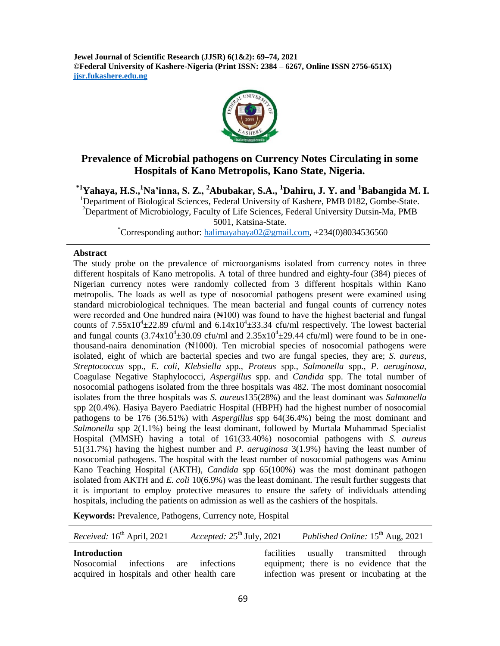**Jewel Journal of Scientific Research (JJSR) 6(1&2): 69–74, 2021 ©Federal University of Kashere-Nigeria (Print ISSN: 2384 – 6267, Online ISSN 2756-651X) jjsr.fukashere.edu.ng**



# **Prevalence of Microbial pathogens on Currency Notes Circulating in some Hospitals of Kano Metropolis, Kano State, Nigeria.**

**\*1Yahaya, H.S., <sup>1</sup>Na'inna, S. Z., <sup>2</sup>Abubakar, S.A., <sup>1</sup>Dahiru, J. Y. and <sup>1</sup>Babangida M. I.**

<sup>1</sup>Department of Biological Sciences, Federal University of Kashere, PMB 0182, Gombe-State. <sup>2</sup>Department of Microbiology, Faculty of Life Sciences, Federal University Dutsin-Ma, PMB

5001, Katsina-State.

 $^{\circ}$ Corresponding author: [halimayahaya02@gmail.com,](mailto:halimayahaya02@gmail.com) +234(0)8034536560

#### **Abstract**

The study probe on the prevalence of microorganisms isolated from currency notes in three different hospitals of Kano metropolis. A total of three hundred and eighty-four (384) pieces of Nigerian currency notes were randomly collected from 3 different hospitals within Kano metropolis. The loads as well as type of nosocomial pathogens present were examined using standard microbiological techniques. The mean bacterial and fungal counts of currency notes were recorded and One hundred naira  $(\mathbb{N}100)$  was found to have the highest bacterial and fungal counts of  $7.55 \times 10^4 \pm 22.89$  cfu/ml and  $6.14 \times 10^4 \pm 33.34$  cfu/ml respectively. The lowest bacterial and fungal counts  $(3.74 \times 10^4 \pm 30.09 \text{ cft/m1}$  and  $2.35 \times 10^4 \pm 29.44 \text{ cft/m1}$ ) were found to be in onethousand-naira denomination  $(*1000)$ . Ten microbial species of nosocomial pathogens were isolated, eight of which are bacterial species and two are fungal species, they are; *S. aureus*, *Streptococcus* spp., *E. coli, Klebsiella s*pp., *Proteus* spp., *Salmonella* spp., *P. aeruginosa,* Coagulase Negative Staphylococci, *Aspergillus* spp. and *Candida* spp. The total number of nosocomial pathogens isolated from the three hospitals was 482. The most dominant nosocomial isolates from the three hospitals was *S. aureus*135(28%) and the least dominant was *Salmonella*  spp 2(0.4%). Hasiya Bayero Paediatric Hospital (HBPH) had the highest number of nosocomial pathogens to be 176 (36.51%) with *Aspergillus* spp 64(36.4%) being the most dominant and *Salmonella* spp 2(1.1%) being the least dominant, followed by Murtala Muhammad Specialist Hospital (MMSH) having a total of 161(33.40%) nosocomial pathogens with *S. aureus* 51(31.7%) having the highest number and *P. aeruginosa* 3(1.9%) having the least number of nosocomial pathogens. The hospital with the least number of nosocomial pathogens was Aminu Kano Teaching Hospital (AKTH), *Candida* spp 65(100%) was the most dominant pathogen isolated from AKTH and *E. coli* 10(6.9%) was the least dominant. The result further suggests that it is important to employ protective measures to ensure the safety of individuals attending hospitals, including the patients on admission as well as the cashiers of the hospitals.

**Keywords:** Prevalence, Pathogens, Currency note, Hospital

| Received: 16 <sup>th</sup> April, 2021                                                                     | Accepted: $25th$ July, 2021 |  | Published Online: $15^{th}$ Aug, 2021                                                                                            |  |
|------------------------------------------------------------------------------------------------------------|-----------------------------|--|----------------------------------------------------------------------------------------------------------------------------------|--|
| <b>Introduction</b><br>Nosocomial infections are infections<br>acquired in hospitals and other health care |                             |  | facilities usually transmitted through<br>equipment; there is no evidence that the<br>infection was present or incubating at the |  |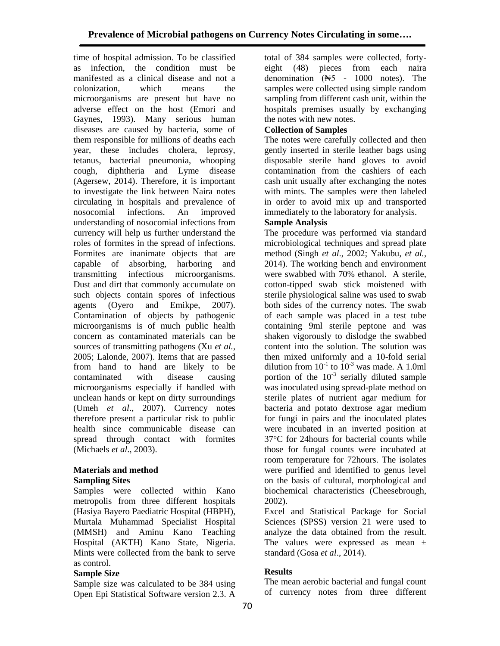time of hospital admission. To be classified as infection, the condition must be manifested as a clinical disease and not a colonization, which means the microorganisms are present but have no adverse effect on the host (Emori and Gaynes, 1993). Many serious human diseases are caused by bacteria, some of them responsible for millions of deaths each year, these includes cholera, leprosy, tetanus, bacterial pneumonia, whooping cough, diphtheria and Lyme disease (Agersew, 2014). Therefore, it is important to investigate the link between Naira notes circulating in hospitals and prevalence of nosocomial infections. An improved understanding of nosocomial infections from currency will help us further understand the roles of formites in the spread of infections. Formites are inanimate objects that are capable of absorbing, harboring and transmitting infectious microorganisms. Dust and dirt that commonly accumulate on such objects contain spores of infectious agents (Oyero and Emikpe, 2007). Contamination of objects by pathogenic microorganisms is of much public health concern as contaminated materials can be sources of transmitting pathogens (Xu *et al.,* 2005; Lalonde, 2007). Items that are passed from hand to hand are likely to be contaminated with disease causing microorganisms especially if handled with unclean hands or kept on dirty surroundings (Umeh *et al*., 2007). Currency notes therefore present a particular risk to public health since communicable disease can spread through contact with formites (Michaels *et al*., 2003).

#### **Materials and method Sampling Sites**

Samples were collected within Kano metropolis from three different hospitals (Hasiya Bayero Paediatric Hospital (HBPH), Murtala Muhammad Specialist Hospital (MMSH) and Aminu Kano Teaching Hospital (AKTH) Kano State, Nigeria. Mints were collected from the bank to serve as control.

## **Sample Size**

Sample size was calculated to be 384 using Open Epi Statistical Software version 2.3. A

total of 384 samples were collected, fortyeight (48) pieces from each naira denomination (₦5 - 1000 notes). The samples were collected using simple random sampling from different cash unit, within the hospitals premises usually by exchanging the notes with new notes.

# **Collection of Samples**

The notes were carefully collected and then gently inserted in sterile leather bags using disposable sterile hand gloves to avoid contamination from the cashiers of each cash unit usually after exchanging the notes with mints. The samples were then labeled in order to avoid mix up and transported immediately to the laboratory for analysis.

## **Sample Analysis**

The procedure was performed via standard microbiological techniques and spread plate method (Singh *et al*., 2002; Yakubu, *et al.,* 2014). The working bench and environment were swabbed with 70% ethanol. A sterile, cotton-tipped swab stick moistened with sterile physiological saline was used to swab both sides of the currency notes. The swab of each sample was placed in a test tube containing 9ml sterile peptone and was shaken vigorously to dislodge the swabbed content into the solution. The solution was then mixed uniformly and a 10-fold serial dilution from  $10^{-1}$  to  $10^{-3}$  was made. A 1.0ml portion of the  $10^{-3}$  serially diluted sample was inoculated using spread-plate method on sterile plates of nutrient agar medium for bacteria and potato dextrose agar medium for fungi in pairs and the inoculated plates were incubated in an inverted position at 37°C for 24hours for bacterial counts while those for fungal counts were incubated at room temperature for 72hours. The isolates were purified and identified to genus level on the basis of cultural, morphological and biochemical characteristics (Cheesebrough, 2002).

Excel and Statistical Package for Social Sciences (SPSS) version 21 were used to analyze the data obtained from the result. The values were expressed as mean ± standard (Gosa *et al*., 2014).

## **Results**

The mean aerobic bacterial and fungal count of currency notes from three different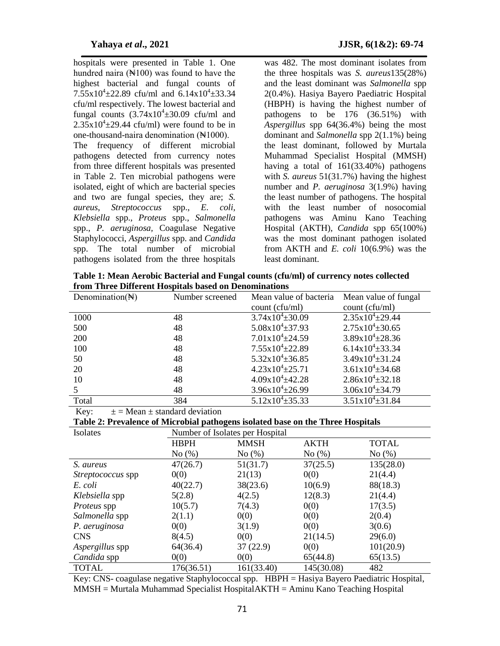hospitals were presented in Table 1. One hundred naira  $(\mathbb{N}100)$  was found to have the highest bacterial and fungal counts of  $7.55 \times 10^{4} \pm 22.89$  cfu/ml and  $6.14 \times 10^{4} \pm 33.34$ cfu/ml respectively. The lowest bacterial and fungal counts  $(3.74 \times 10^4 \pm 30.09)$  cfu/ml and  $2.35 \times 10^4 \pm 29.44$  cfu/ml) were found to be in one-thousand-naira denomination (No.1000). The frequency of different microbial pathogens detected from currency notes from three different hospitals was presented in Table 2. Ten microbial pathogens were isolated, eight of which are bacterial species and two are fungal species, they are; *S. aureus*, *Streptococcus* spp., *E. coli,* 

*Klebsiella* spp., *Proteus* spp., *Salmonella* spp., *P. aeruginosa,* Coagulase Negative Staphylococci, *Aspergillus* spp. and *Candida* spp. The total number of microbial pathogens isolated from the three hospitals

was 482. The most dominant isolates from the three hospitals was *S. aureus*135(28%) and the least dominant was *Salmonella* spp 2(0.4%). Hasiya Bayero Paediatric Hospital (HBPH) is having the highest number of pathogens to be 176 (36.51%) with *Aspergillus* spp 64(36.4%) being the most dominant and *Salmonella* spp 2(1.1%) being the least dominant, followed by Murtala Muhammad Specialist Hospital (MMSH) having a total of 161(33.40%) pathogens with *S. aureus* 51(31.7%) having the highest number and *P. aeruginosa* 3(1.9%) having the least number of pathogens. The hospital with the least number of nosocomial pathogens was Aminu Kano Teaching Hospital (AKTH), *Candida* spp 65(100%) was the most dominant pathogen isolated from AKTH and *E. coli* 10(6.9%) was the least dominant.

**Table 1: Mean Aerobic Bacterial and Fungal counts (cfu/ml) of currency notes collected from Three Different Hospitals based on Denominations**

| Denomination( $\mathbb{H}$ ) | Number screened | Mean value of bacteria         | Mean value of fungal           |
|------------------------------|-----------------|--------------------------------|--------------------------------|
|                              |                 | count (cfu/ml)                 | count (cfu/ml)                 |
| 1000                         | 48              | $3.74 \times 10^{4} \pm 30.09$ | $2.35x10^{4} \pm 29.44$        |
| 500                          | 48              | $5.08x10^{4} \pm 37.93$        | $2.75x10^{4} \pm 30.65$        |
| 200                          | 48              | $7.01x10^{4} \pm 24.59$        | $3.89x10^{4} \pm 28.36$        |
| 100                          | 48              | $7.55 \times 10^{4} \pm 22.89$ | $6.14 \times 10^{4} \pm 33.34$ |
| 50                           | 48              | $5.32 \times 10^{4} \pm 36.85$ | $3.49x10^{4} \pm 31.24$        |
| 20                           | 48              | $4.23 \times 10^{4} \pm 25.71$ | $3.61x10^{4} \pm 34.68$        |
| 10                           | 48              | $4.09x10^{4} \pm 42.28$        | $2.86x10^{4} \pm 32.18$        |
|                              | 48              | $3.96x10^{4} \pm 26.99$        | $3.06x10^{4} \pm 34.79$        |
| Total                        | 384             | $5.12 \times 10^{4} \pm 35.33$ | $3.51x10^{4} \pm 31.84$        |

Key:  $\pm$  = Mean  $\pm$  standard deviation

**Table 2: Prevalence of Microbial pathogens isolated base on the Three Hospitals**

| Isolates                 | Number of Isolates per Hospital |             |             |              |  |  |
|--------------------------|---------------------------------|-------------|-------------|--------------|--|--|
|                          | <b>HBPH</b>                     | <b>MMSH</b> | <b>AKTH</b> | <b>TOTAL</b> |  |  |
|                          | No(%)                           | No $(\%)$   | No $(\%)$   | No(%)        |  |  |
| S. aureus                | 47(26.7)                        | 51(31.7)    | 37(25.5)    | 135(28.0)    |  |  |
| <i>Streptococcus</i> spp | 0(0)                            | 21(13)      | 0(0)        | 21(4.4)      |  |  |
| E. coli                  | 40(22.7)                        | 38(23.6)    | 10(6.9)     | 88(18.3)     |  |  |
| Klebsiella spp           | 5(2.8)                          | 4(2.5)      | 12(8.3)     | 21(4.4)      |  |  |
| Proteus spp              | 10(5.7)                         | 7(4.3)      | 0(0)        | 17(3.5)      |  |  |
| Salmonella spp           | 2(1.1)                          | 0(0)        | 0(0)        | 2(0.4)       |  |  |
| P. aeruginosa            | 0(0)                            | 3(1.9)      | 0(0)        | 3(0.6)       |  |  |
| <b>CNS</b>               | 8(4.5)                          | 0(0)        | 21(14.5)    | 29(6.0)      |  |  |
| Aspergillus spp          | 64(36.4)                        | 37(22.9)    | 0(0)        | 101(20.9)    |  |  |
| Candida spp              | 0(0)                            | 0(0)        | 65(44.8)    | 65(13.5)     |  |  |
| <b>TOTAL</b>             | 176(36.51)                      | 161(33.40)  | 145(30.08)  | 482          |  |  |

Key: CNS- coagulase negative Staphylococcal spp. HBPH = Hasiya Bayero Paediatric Hospital, MMSH = Murtala Muhammad Specialist HospitalAKTH = Aminu Kano Teaching Hospital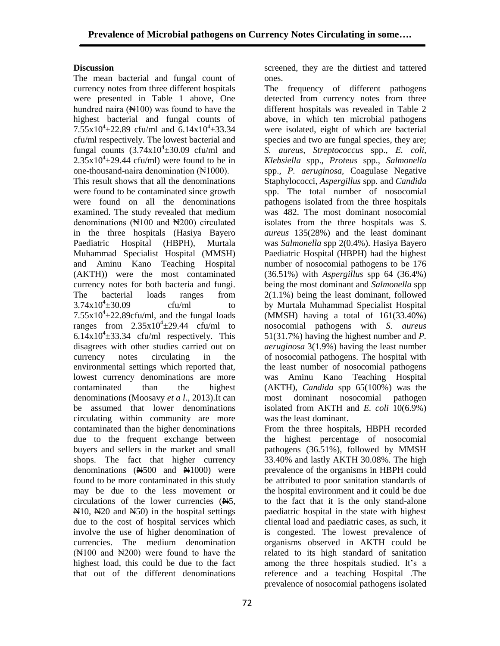## **Discussion**

The mean bacterial and fungal count of currency notes from three different hospitals were presented in Table 1 above, One hundred naira  $(\mathbb{N}100)$  was found to have the highest bacterial and fungal counts of  $7.55 \times 10^{4} \pm 22.89$  cfu/ml and  $6.14 \times 10^{4} \pm 33.34$ cfu/ml respectively. The lowest bacterial and fungal counts  $(3.74 \times 10^4 \pm 30.09)$  cfu/ml and  $2.35 \times 10^4 \pm 29.44$  cfu/ml) were found to be in one-thousand-naira denomination (No.1000).

This result shows that all the denominations were found to be contaminated since growth were found on all the denominations examined. The study revealed that medium denominations  $(*100$  and  $*200$  circulated in the three hospitals (Hasiya Bayero Paediatric Hospital (HBPH), Murtala Muhammad Specialist Hospital (MMSH) and Aminu Kano Teaching Hospital (AKTH)) were the most contaminated currency notes for both bacteria and fungi. The bacterial loads ranges from  $3.74x10^{4} \pm 30.09$  $ctu/ml$  to  $7.55 \times 10^4 \pm 22.89$ cfu/ml, and the fungal loads ranges from  $2.35 \times 10^4 \pm 29.44$  cfu/ml to  $6.14 \times 10^4 \pm 33.34$  cfu/ml respectively. This disagrees with other studies carried out on currency notes circulating in the environmental settings which reported that, lowest currency denominations are more contaminated than the highest denominations (Moosavy *et a l*., 2013).It can be assumed that lower denominations circulating within community are more contaminated than the higher denominations due to the frequent exchange between buyers and sellers in the market and small shops. The fact that higher currency denominations  $(M500 \text{ and } M1000)$  were found to be more contaminated in this study may be due to the less movement or circulations of the lower currencies  $(A5, A5)$  $\mathbb{N}10$ ,  $\mathbb{N}20$  and  $\mathbb{N}50$ ) in the hospital settings due to the cost of hospital services which involve the use of higher denomination of currencies. The medium denomination  $(\text{N100 and N200})$  were found to have the highest load, this could be due to the fact that out of the different denominations

screened, they are the dirtiest and tattered ones.

The frequency of different pathogens detected from currency notes from three different hospitals was revealed in Table 2 above, in which ten microbial pathogens were isolated, eight of which are bacterial species and two are fungal species, they are; *S. aureus*, *Streptococcus* spp., *E. coli, Klebsiella s*pp., *Proteus* spp., *Salmonella* spp., *P. aeruginosa,* Coagulase Negative Staphylococci, *Aspergillus* spp. and *Candida* spp. The total number of nosocomial pathogens isolated from the three hospitals was 482. The most dominant nosocomial isolates from the three hospitals was *S. aureus* 135(28%) and the least dominant was *Salmonella* spp 2(0.4%). Hasiya Bayero Paediatric Hospital (HBPH) had the highest number of nosocomial pathogens to be 176 (36.51%) with *Aspergillus* spp 64 (36.4%) being the most dominant and *Salmonella* spp 2(1.1%) being the least dominant, followed by Murtala Muhammad Specialist Hospital (MMSH) having a total of 161(33.40%) nosocomial pathogens with *S. aureus* 51(31.7%) having the highest number and *P. aeruginosa* 3(1.9%) having the least number of nosocomial pathogens. The hospital with the least number of nosocomial pathogens was Aminu Kano Teaching Hospital (AKTH), *Candida* spp 65(100%) was the most dominant nosocomial pathogen isolated from AKTH and *E. coli* 10(6.9%) was the least dominant.

From the three hospitals, HBPH recorded the highest percentage of nosocomial pathogens (36.51%), followed by MMSH 33.40% and lastly AKTH 30.08%. The high prevalence of the organisms in HBPH could be attributed to poor sanitation standards of the hospital environment and it could be due to the fact that it is the only stand-alone paediatric hospital in the state with highest cliental load and paediatric cases, as such, it is congested. The lowest prevalence of organisms observed in AKTH could be related to its high standard of sanitation among the three hospitals studied. It's a reference and a teaching Hospital .The prevalence of nosocomial pathogens isolated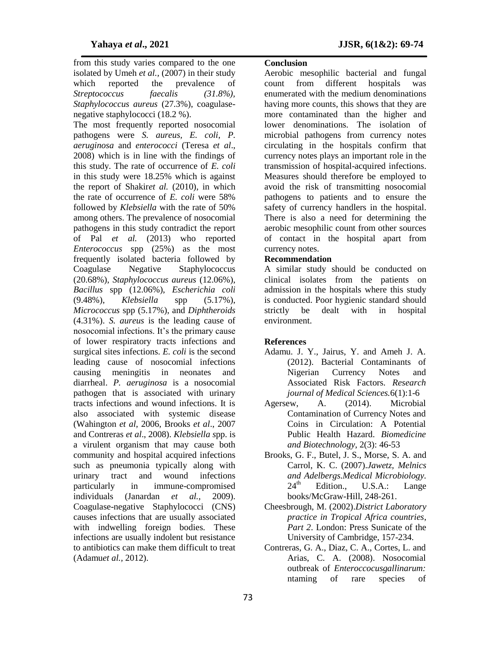from this study varies compared to the one isolated by Umeh *et al.,* (2007) in their study which reported the prevalence of *Streptococcus faecalis (31.8%), Staphylococcus aureus* (27.3%), coagulasenegative staphylococci (18.2 %).

The most frequently reported nosocomial pathogens were *S. aureus, E. coli*, *P. aeruginosa* and *enterococci* (Teresa *et al*., 2008) which is in line with the findings of this study. The rate of occurrence of *E. coli* in this study were 18.25% which is against the report of Shakir*et al.* (2010), in which the rate of occurrence of *E. coli* were 58% followed by *Klebsiella* with the rate of 50% among others. The prevalence of nosocomial pathogens in this study contradict the report of Pal *et al.* (2013) who reported *Enterococcus* spp (25%) as the most frequently isolated bacteria followed by Coagulase Negative Staphylococcus (20.68%), *Staphylococcus aureus* (12.06%), *Bacillus* spp (12.06%), *Escherichia coli* (9.48%), *Klebsiella* spp (5.17%), *Micrococcus* spp (5.17%), and *Diphtheroids* (4.31%). *S. aureus* is the leading cause of nosocomial infections. It's the primary cause of lower respiratory tracts infections and surgical sites infections. *E. coli* is the second leading cause of nosocomial infections causing meningitis in neonates and diarrheal. *P. aeruginosa* is a nosocomial pathogen that is associated with urinary tracts infections and wound infections. It is also associated with systemic disease (Wahington *et al*, 2006, Brooks *et al*., 2007 and Contreras *et al*., 2008). *Klebsiella s*pp. is a virulent organism that may cause both community and hospital acquired infections such as pneumonia typically along with urinary tract and wound infections particularly in immune-compromised individuals (Janardan *et al.,* 2009). Coagulase-negative Staphylococci (CNS) causes infections that are usually associated with indwelling foreign bodies. These infections are usually indolent but resistance to antibiotics can make them difficult to treat (Adamu*et al.,* 2012).

### **Conclusion**

Aerobic mesophilic bacterial and fungal count from different hospitals was enumerated with the medium denominations having more counts, this shows that they are more contaminated than the higher and lower denominations. The isolation of microbial pathogens from currency notes circulating in the hospitals confirm that currency notes plays an important role in the transmission of hospital-acquired infections. Measures should therefore be employed to avoid the risk of transmitting nosocomial pathogens to patients and to ensure the safety of currency handlers in the hospital. There is also a need for determining the aerobic mesophilic count from other sources of contact in the hospital apart from currency notes.

### **Recommendation**

A similar study should be conducted on clinical isolates from the patients on admission in the hospitals where this study is conducted. Poor hygienic standard should strictly be dealt with in hospital environment.

### **References**

- Adamu. J. Y., Jairus, Y. and Ameh J. A. (2012). Bacterial Contaminants of Nigerian Currency Notes and Associated Risk Factors. *Research journal of Medical Sciences.*6(1):1-6
- Agersew, A. (2014). Microbial Contamination of Currency Notes and Coins in Circulation: A Potential Public Health Hazard. *Biomedicine and Biotechnology*, 2(3): 46-53
- Brooks, G. F., Butel, J. S., Morse, S. A. and Carrol, K. C. (2007).*Jawetz, Melnics and Adelbergs.Medical Microbiology.* Edition., U.S.A.: Lange books/McGraw-Hill, 248-261.
- Cheesbrough, M. (2002).*District Laboratory practice in Tropical Africa countries*, *Part 2*. London: Press Sunicate of the University of Cambridge, 157-234.
- Contreras, G. A., Diaz, C. A., Cortes, L. and Arias, C. A. (2008). Nosocomial outbreak of *Enteroccocusgallinarum:*  ntaming of rare species of